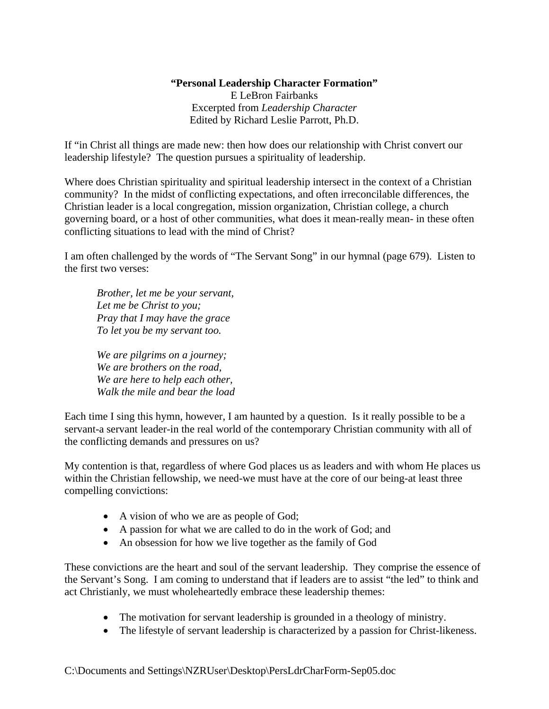## **"Personal Leadership Character Formation"**

E LeBron Fairbanks Excerpted from *Leadership Character*  Edited by Richard Leslie Parrott, Ph.D.

If "in Christ all things are made new: then how does our relationship with Christ convert our leadership lifestyle? The question pursues a spirituality of leadership.

Where does Christian spirituality and spiritual leadership intersect in the context of a Christian community? In the midst of conflicting expectations, and often irreconcilable differences, the Christian leader is a local congregation, mission organization, Christian college, a church governing board, or a host of other communities, what does it mean-really mean- in these often conflicting situations to lead with the mind of Christ?

I am often challenged by the words of "The Servant Song" in our hymnal (page 679). Listen to the first two verses:

*Brother, let me be your servant, Let me be Christ to you; Pray that I may have the grace To let you be my servant too.* 

 *We are pilgrims on a journey; We are brothers on the road, We are here to help each other, Walk the mile and bear the load* 

Each time I sing this hymn, however, I am haunted by a question. Is it really possible to be a servant-a servant leader-in the real world of the contemporary Christian community with all of the conflicting demands and pressures on us?

My contention is that, regardless of where God places us as leaders and with whom He places us within the Christian fellowship, we need-we must have at the core of our being-at least three compelling convictions:

- A vision of who we are as people of God;
- A passion for what we are called to do in the work of God; and
- An obsession for how we live together as the family of God

These convictions are the heart and soul of the servant leadership. They comprise the essence of the Servant's Song. I am coming to understand that if leaders are to assist "the led" to think and act Christianly, we must wholeheartedly embrace these leadership themes:

- The motivation for servant leadership is grounded in a theology of ministry.
- The lifestyle of servant leadership is characterized by a passion for Christ-likeness.